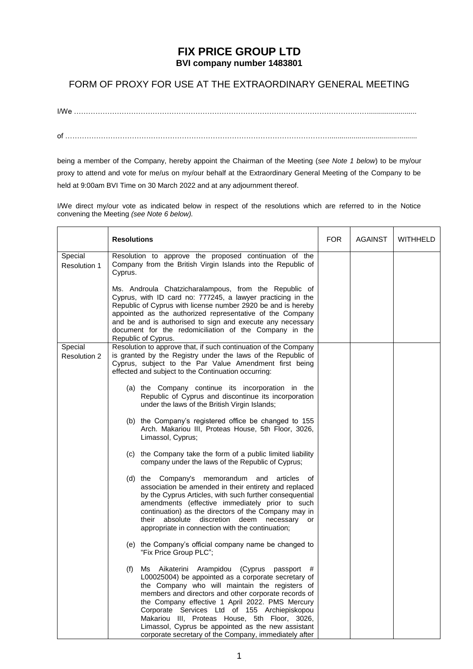## **FIX PRICE GROUP LTD BVI company number 1483801**

## FORM OF PROXY FOR USE AT THE EXTRAORDINARY GENERAL MEETING

I/We ……………………………………………………………………………………………………….……........................ of …………………………………………………………………………………………………............................................

being a member of the Company, hereby appoint the Chairman of the Meeting (*see Note 1 below*) to be my/our proxy to attend and vote for me/us on my/our behalf at the Extraordinary General Meeting of the Company to be held at 9:00am BVI Time on 30 March 2022 and at any adjournment thereof.

I/We direct my/our vote as indicated below in respect of the resolutions which are referred to in the Notice convening the Meeting *(see Note 6 below).*

|                                | <b>Resolutions</b>                                                                                                                                                                                                                                                                                                                                                                                                                                                                             | <b>FOR</b> | <b>AGAINST</b> | <b>WITHHELD</b> |
|--------------------------------|------------------------------------------------------------------------------------------------------------------------------------------------------------------------------------------------------------------------------------------------------------------------------------------------------------------------------------------------------------------------------------------------------------------------------------------------------------------------------------------------|------------|----------------|-----------------|
| Special<br>Resolution 1        | Resolution to approve the proposed continuation of the<br>Company from the British Virgin Islands into the Republic of<br>Cyprus.                                                                                                                                                                                                                                                                                                                                                              |            |                |                 |
|                                | Ms. Androula Chatzicharalampous, from the Republic of<br>Cyprus, with ID card no: 777245, a lawyer practicing in the<br>Republic of Cyprus with license number 2920 be and is hereby<br>appointed as the authorized representative of the Company<br>and be and is authorised to sign and execute any necessary<br>document for the redomiciliation of the Company in the<br>Republic of Cyprus.                                                                                               |            |                |                 |
| Special<br><b>Resolution 2</b> | Resolution to approve that, if such continuation of the Company<br>is granted by the Registry under the laws of the Republic of<br>Cyprus, subject to the Par Value Amendment first being<br>effected and subject to the Continuation occurring:                                                                                                                                                                                                                                               |            |                |                 |
|                                | (a) the Company continue its incorporation in the<br>Republic of Cyprus and discontinue its incorporation<br>under the laws of the British Virgin Islands;                                                                                                                                                                                                                                                                                                                                     |            |                |                 |
|                                | (b) the Company's registered office be changed to 155<br>Arch. Makariou III, Proteas House, 5th Floor, 3026,<br>Limassol, Cyprus;                                                                                                                                                                                                                                                                                                                                                              |            |                |                 |
|                                | (c) the Company take the form of a public limited liability<br>company under the laws of the Republic of Cyprus;                                                                                                                                                                                                                                                                                                                                                                               |            |                |                 |
|                                | (d) the Company's<br>memorandum<br>and<br>articles<br>of<br>association be amended in their entirety and replaced<br>by the Cyprus Articles, with such further consequential<br>amendments (effective immediately prior to such<br>continuation) as the directors of the Company may in<br>absolute<br>discretion deem<br>their<br>necessary<br>or<br>appropriate in connection with the continuation;                                                                                         |            |                |                 |
|                                | (e) the Company's official company name be changed to<br>"Fix Price Group PLC";                                                                                                                                                                                                                                                                                                                                                                                                                |            |                |                 |
|                                | (f)<br>Ms Aikaterini Arampidou<br>(Cyprus<br>passport<br>#<br>L00025004) be appointed as a corporate secretary of<br>the Company who will maintain the registers of<br>members and directors and other corporate records of<br>the Company effective 1 April 2022. PMS Mercury<br>Corporate Services Ltd of 155 Archiepiskopou<br>Makariou III, Proteas House, 5th Floor, 3026,<br>Limassol, Cyprus be appointed as the new assistant<br>corporate secretary of the Company, immediately after |            |                |                 |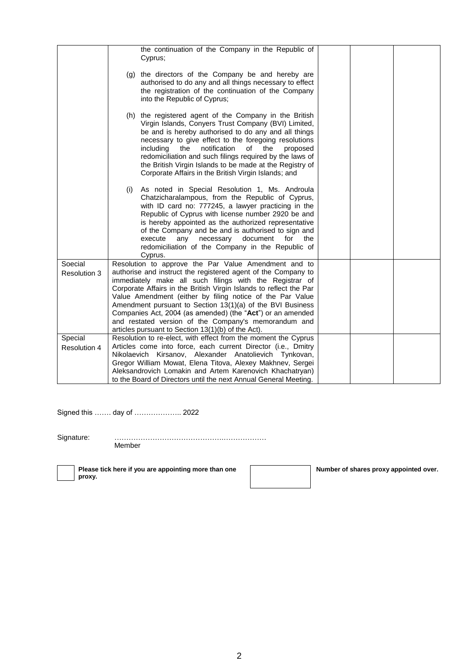|                                | the continuation of the Company in the Republic of<br>Cyprus;                                                                                                                                                                                                                                                                                                                                                                                                                                                                                                 |
|--------------------------------|---------------------------------------------------------------------------------------------------------------------------------------------------------------------------------------------------------------------------------------------------------------------------------------------------------------------------------------------------------------------------------------------------------------------------------------------------------------------------------------------------------------------------------------------------------------|
|                                | (g) the directors of the Company be and hereby are<br>authorised to do any and all things necessary to effect<br>the registration of the continuation of the Company<br>into the Republic of Cyprus;                                                                                                                                                                                                                                                                                                                                                          |
|                                | (h) the registered agent of the Company in the British<br>Virgin Islands, Conyers Trust Company (BVI) Limited,<br>be and is hereby authorised to do any and all things<br>necessary to give effect to the foregoing resolutions<br>including<br>notification<br>of the<br>the<br>proposed<br>redomiciliation and such filings required by the laws of<br>the British Virgin Islands to be made at the Registry of<br>Corporate Affairs in the British Virgin Islands; and                                                                                     |
|                                | As noted in Special Resolution 1, Ms. Androula<br>(i)<br>Chatzicharalampous, from the Republic of Cyprus,<br>with ID card no: 777245, a lawyer practicing in the<br>Republic of Cyprus with license number 2920 be and<br>is hereby appointed as the authorized representative<br>of the Company and be and is authorised to sign and<br>document<br>execute<br>any<br>necessary<br>for<br>the<br>redomiciliation of the Company in the Republic of<br>Cyprus.                                                                                                |
| Soecial<br><b>Resolution 3</b> | Resolution to approve the Par Value Amendment and to<br>authorise and instruct the registered agent of the Company to<br>immediately make all such filings with the Registrar of<br>Corporate Affairs in the British Virgin Islands to reflect the Par<br>Value Amendment (either by filing notice of the Par Value<br>Amendment pursuant to Section 13(1)(a) of the BVI Business<br>Companies Act, 2004 (as amended) (the "Act") or an amended<br>and restated version of the Company's memorandum and<br>articles pursuant to Section 13(1)(b) of the Act). |
| Special<br>Resolution 4        | Resolution to re-elect, with effect from the moment the Cyprus<br>Articles come into force, each current Director (i.e., Dmitry<br>Nikolaevich Kirsanov, Alexander Anatolievich Tynkovan,<br>Gregor William Mowat, Elena Titova, Alexey Makhnev, Sergei<br>Aleksandrovich Lomakin and Artem Karenovich Khachatryan)<br>to the Board of Directors until the next Annual General Meeting.                                                                                                                                                                       |
|                                |                                                                                                                                                                                                                                                                                                                                                                                                                                                                                                                                                               |

Signed this ……. day of ……………….. 2022

Signature: ……………………………………….………………

Member

**Please tick here if you are appointing more than one proxy.**

**Number of shares proxy appointed over.**